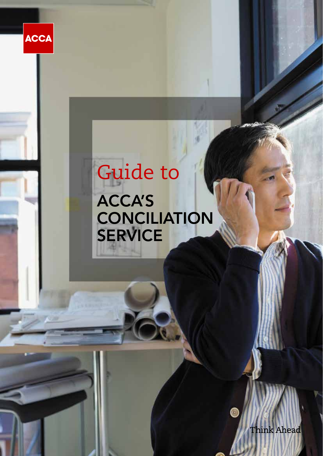

# Guide to ACCA'S **CONCILIATION** SERVICE

Think Ahead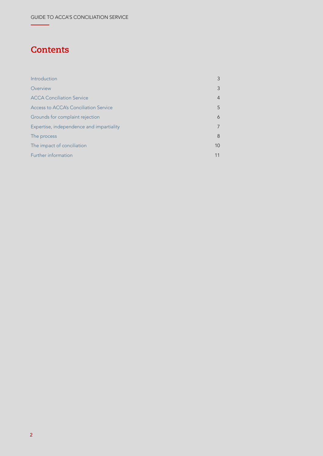# **Contents**

| Introduction                             | 3              |
|------------------------------------------|----------------|
| Overview                                 | 3              |
| <b>ACCA Conciliation Service</b>         | $\overline{4}$ |
| Access to ACCA's Conciliation Service    | 5              |
| Grounds for complaint rejection          | 6              |
| Expertise, independence and impartiality | 7              |
| The process                              | 8              |
| The impact of conciliation               | 10             |
| Further information                      | 11             |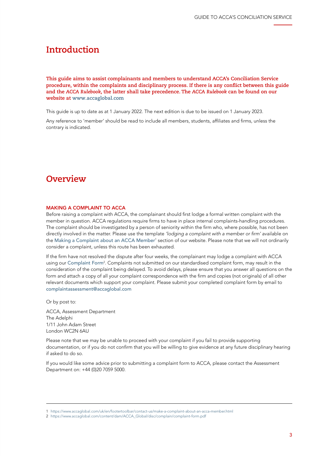### <span id="page-2-0"></span>**Introduction**

**This guide aims to assist complainants and members to understand ACCA's Conciliation Service procedure, within the complaints and disciplinary process. If there is any conflict between this guide and the** *ACCA Rulebook***, the latter shall take precedence. The** *ACCA Rulebook* **can be found on our website at [www.accaglobal.com](http://www.accaglobal.com)**

This guide is up to date as at 1 January 2022. The next edition is due to be issued on 1 January 2023.

Any reference to 'member' should be read to include all members, students, affiliates and firms, unless the contrary is indicated.

### **Overview**

#### MAKING A COMPLAINT TO ACCA

Before raising a complaint with ACCA, the complainant should first lodge a formal written complaint with the member in question. ACCA regulations require firms to have in place internal complaints-handling procedures. The complaint should be investigated by a person of seniority within the firm who, where possible, has not been directly involved in the matter. Please use the template 'lodging a complaint with a member or firm' available on the [Making a Complaint about an ACCA Member](https://www.accaglobal.com/uk/en/footertoolbar/contact-us/make-a-complaint-about-an-acca-member.html)' section of our website. Please note that we will not ordinarily consider a complaint, unless this route has been exhausted.

If the firm have not resolved the dispute after four weeks, the complainant may lodge a complaint with ACCA using our [Complaint Form](https://www.accaglobal.com/content/dam/ACCA_Global/disc/complain/complaint-form.pdf)<sup>2</sup>. Complaints not submitted on our standardised complaint form, may result in the consideration of the complaint being delayed. To avoid delays, please ensure that you answer all questions on the form and attach a copy of all your complaint correspondence with the firm and copies (not originals) of all other relevant documents which support your complaint. Please submit your completed complaint form by email to [complaintassessment@accaglobal.com](mailto:complaintassessment%40accaglobal.com?subject=)

Or by post to:

ACCA, Assessment Department The Adelphi 1/11 John Adam Street London WC2N 6AU

Please note that we may be unable to proceed with your complaint if you fail to provide supporting documentation, or if you do not confirm that you will be willing to give evidence at any future disciplinary hearing if asked to do so.

If you would like some advice prior to submitting a complaint form to ACCA, please contact the Assessment Department on: +44 (0)20 7059 5000.

<sup>1</sup> <https://www.accaglobal.com/uk/en/footertoolbar/contact-us/make-a-complaint-about-an-acca-member.html>

<sup>2</sup> [https://www.accaglobal.com/content/dam/ACCA\\_Global/disc/complain/complaint-form.pdf](https://www.accaglobal.com/content/dam/ACCA_Global/disc/complain/complaint-form.pdf)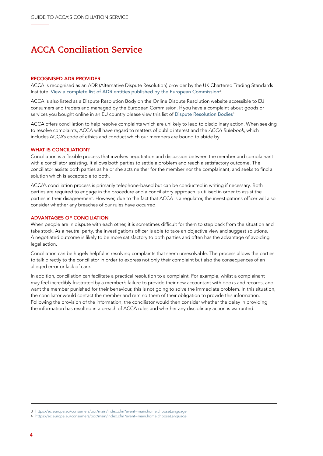### <span id="page-3-0"></span>**ACCA Conciliation Service**

#### RECOGNISED ADR PROVIDER

ACCA is recognised as an ADR (Alternative Dispute Resolution) provider by the UK Chartered Trading Standards Institute. [View a complete list of ADR entities published by the European Commission](https://ec.europa.eu/consumers/odr/main/index.cfm?event=main.home.chooseLanguage) $^3\!$ 

ACCA is also listed as a Dispute Resolution Body on the Online Dispute Resolution website accessible to EU consumers and traders and managed by the European Commission. If you have a complaint about goods or services you bought online in an EU country please view this list of [Dispute Resolution Bodies](https://ec.europa.eu/consumers/odr/main/index.cfm?event=main.home.chooseLanguage) $^{\rm 4}$ .

ACCA offers conciliation to help resolve complaints which are unlikely to lead to disciplinary action. When seeking to resolve complaints, ACCA will have regard to matters of public interest and the *ACCA Rulebook*, which includes ACCA's code of ethics and conduct which our members are bound to abide by.

#### WHAT IS CONCILIATION?

Conciliation is a flexible process that involves negotiation and discussion between the member and complainant with a conciliator assisting. It allows both parties to settle a problem and reach a satisfactory outcome. The conciliator assists both parties as he or she acts neither for the member nor the complainant, and seeks to find a solution which is acceptable to both.

ACCA's conciliation process is primarily telephone-based but can be conducted in writing if necessary. Both parties are required to engage in the procedure and a conciliatory approach is utilised in order to assist the parties in their disagreement. However, due to the fact that ACCA is a regulator, the investigations officer will also consider whether any breaches of our rules have occurred.

#### ADVANTAGES OF CONCILIATION

When people are in dispute with each other, it is sometimes difficult for them to step back from the situation and take stock. As a neutral party, the investigations officer is able to take an objective view and suggest solutions. A negotiated outcome is likely to be more satisfactory to both parties and often has the advantage of avoiding legal action.

Conciliation can be hugely helpful in resolving complaints that seem unresolvable. The process allows the parties to talk directly to the conciliator in order to express not only their complaint but also the consequences of an alleged error or lack of care.

In addition, conciliation can facilitate a practical resolution to a complaint. For example, whilst a complainant may feel incredibly frustrated by a member's failure to provide their new accountant with books and records, and want the member punished for their behaviour, this is not going to solve the immediate problem. In this situation, the conciliator would contact the member and remind them of their obligation to provide this information. Following the provision of the information, the conciliator would then consider whether the delay in providing the information has resulted in a breach of ACCA rules and whether any disciplinary action is warranted.

<sup>3</sup> <https://ec.europa.eu/consumers/odr/main/index.cfm?event=main.home.chooseLanguage>

<sup>4</sup> <https://ec.europa.eu/consumers/odr/main/index.cfm?event=main.home.chooseLanguage>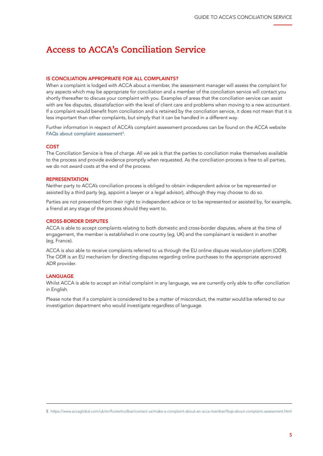## <span id="page-4-0"></span>**Access to ACCA's Conciliation Service**

#### IS CONCILIATION APPROPRIATE FOR ALL COMPLAINTS?

When a complaint is lodged with ACCA about a member, the assessment manager will assess the complaint for any aspects which may be appropriate for conciliation and a member of the conciliation service will contact you shortly thereafter to discuss your complaint with you. Examples of areas that the conciliation service can assist with are fee disputes, dissatisfaction with the level of client care and problems when moving to a new accountant. If a complaint would benefit from conciliation and is retained by the conciliation service, it does not mean that it is less important than other complaints, but simply that it can be handled in a different way.

Further information in respect of ACCA's complaint assessment procedures can be found on the ACCA website [FAQs about complaint assessment](https://www.accaglobal.com/uk/en/footertoolbar/contact-us/make-a-complaint-about-an-acca-member/faqs-about-complaint-assessment.html)<sup>5</sup>.

#### COST

The Conciliation Service is free of charge. All we ask is that the parties to conciliation make themselves available to the process and provide evidence promptly when requested. As the conciliation process is free to all parties, we do not award costs at the end of the process.

#### REPRESENTATION

Neither party to ACCA's conciliation process is obliged to obtain independent advice or be represented or assisted by a third party (eg, appoint a lawyer or a legal advisor), although they may choose to do so.

Parties are not prevented from their right to independent advice or to be represented or assisted by, for example, a friend at any stage of the process should they want to.

#### CROSS-BORDER DISPUTES

ACCA is able to accept complaints relating to both domestic and cross-border disputes, where at the time of engagement, the member is established in one country (eg, UK) and the complainant is resident in another (eg, France).

ACCA is also able to receive complaints referred to us through the EU online dispute resolution platform (ODR). The ODR is an EU mechanism for directing disputes regarding online purchases to the appropriate approved ADR provider.

#### LANGUAGE

Whilst ACCA is able to accept an initial complaint in any language, we are currently only able to offer conciliation in English.

Please note that if a complaint is considered to be a matter of misconduct, the matter would be referred to our investigation department who would investigate regardless of language.

<sup>5</sup> <https://www.accaglobal.com/uk/en/footertoolbar/contact-us/make-a-complaint-about-an-acca-member/faqs-about-complaint-assessment.html>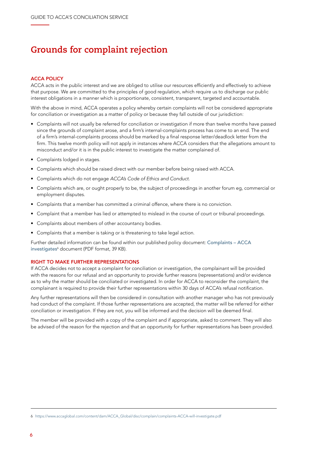# <span id="page-5-0"></span>**Grounds for complaint rejection**

#### ACCA POLICY

ACCA acts in the public interest and we are obliged to utilise our resources efficiently and effectively to achieve that purpose. We are committed to the principles of good regulation, which require us to discharge our public interest obligations in a manner which is proportionate, consistent, transparent, targeted and accountable.

With the above in mind, ACCA operates a policy whereby certain complaints will not be considered appropriate for conciliation or investigation as a matter of policy or because they fall outside of our jurisdiction:

- Complaints will not usually be referred for conciliation or investigation if more than twelve months have passed since the grounds of complaint arose, and a firm's internal-complaints process has come to an end. The end of a firm's internal-complaints process should be marked by a final response letter/deadlock letter from the firm. This twelve month policy will not apply in instances where ACCA considers that the allegations amount to misconduct and/or it is in the public interest to investigate the matter complained of.
- Complaints lodged in stages.
- Complaints which should be raised direct with our member before being raised with ACCA.
- Complaints which do not engage ACCA's Code of Ethics and Conduct.
- Complaints which are, or ought properly to be, the subject of proceedings in another forum eg, commercial or employment disputes.
- Complaints that a member has committed a criminal offence, where there is no conviction.
- Complaint that a member has lied or attempted to mislead in the course of court or tribunal proceedings.
- Complaints about members of other accountancy bodies.
- Complaints that a member is taking or is threatening to take legal action.

Further detailed information can be found within our published policy document: [Complaints – ACCA](https://www.accaglobal.com/content/dam/ACCA_Global/disc/complain/complaints-ACCA-will-investigate.pdf)  [investigates](https://www.accaglobal.com/content/dam/ACCA_Global/disc/complain/complaints-ACCA-will-investigate.pdf)<sup>6</sup> document (PDF format, 39 KB).

#### RIGHT TO MAKE FURTHER REPRESENTATIONS

If ACCA decides not to accept a complaint for conciliation or investigation, the complainant will be provided with the reasons for our refusal and an opportunity to provide further reasons (representations) and/or evidence as to why the matter should be conciliated or investigated. In order for ACCA to reconsider the complaint, the complainant is required to provide their further representations within 30 days of ACCA's refusal notification.

Any further representations will then be considered in consultation with another manager who has not previously had conduct of the complaint. If those further representations are accepted, the matter will be referred for either conciliation or investigation. If they are not, you will be informed and the decision will be deemed final.

The member will be provided with a copy of the complaint and if appropriate, asked to comment. They will also be advised of the reason for the rejection and that an opportunity for further representations has been provided.

<sup>6</sup> [https://www.accaglobal.com/content/dam/ACCA\\_Global/disc/complain/complaints-ACCA-will-investigate.pdf](https://www.accaglobal.com/content/dam/ACCA_Global/disc/complain/complaints-ACCA-will-investigate.pd)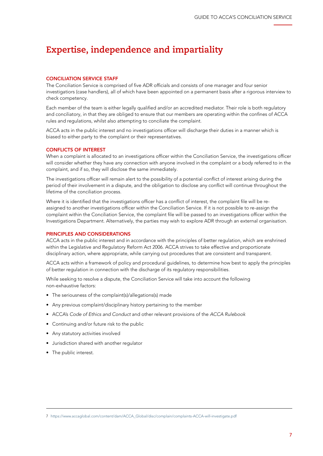# <span id="page-6-0"></span>**Expertise, independence and impartiality**

#### CONCILIATION SERVICE STAFF

The Conciliation Service is comprised of five ADR officials and consists of one manager and four senior investigatiors (case handlers), all of which have been appointed on a permanent basis after a rigorous interview to check competency.

Each member of the team is either legally qualified and/or an accredited mediator. Their role is both regulatory and conciliatory, in that they are obliged to ensure that our members are operating within the confines of ACCA rules and regulations, whilst also attempting to conciliate the complaint.

ACCA acts in the public interest and no investigations officer will discharge their duties in a manner which is biased to either party to the complaint or their representatives.

#### CONFLICTS OF INTEREST

When a complaint is allocated to an investigations officer within the Conciliation Service, the investigations officer will consider whether they have any connection with anyone involved in the complaint or a body referred to in the complaint, and if so, they will disclose the same immediately.

The investigations officer will remain alert to the possibility of a potential conflict of interest arising during the period of their involvement in a dispute, and the obligation to disclose any conflict will continue throughout the lifetime of the conciliation process.

Where it is identified that the investigations officer has a conflict of interest, the complaint file will be reassigned to another investigations officer within the Conciliation Service. If it is not possible to re-assign the complaint within the Conciliation Service, the complaint file will be passed to an investigations officer within the Investigations Department. Alternatively, the parties may wish to explore ADR through an external organisation.

#### PRINCIPLES AND CONSIDERATIONS

ACCA acts in the public interest and in accordance with the principles of better regulation, which are enshrined within the Legislative and Regulatory Reform Act 2006. ACCA strives to take effective and proportionate disciplinary action, where appropriate, while carrying out procedures that are consistent and transparent.

ACCA acts within a framework of policy and procedural guidelines, to determine how best to apply the principles of better regulation in connection with the discharge of its regulatory responsibilities.

While seeking to resolve a dispute, the Conciliation Service will take into account the following non-exhaustive factors:

- The seriousness of the complaint(s)/allegations(s) made
- Any previous complaint/disciplinary history pertaining to the member
- ACCA's Code of Ethics and Conduct and other relevant provisions of the *ACCA Rulebook*
- Continuing and/or future risk to the public
- Any statutory activities involved
- Jurisdiction shared with another regulator
- The public interest.

<sup>7</sup> [https://www.accaglobal.com/content/dam/ACCA\\_Global/disc/complain/complaints-ACCA-will-investigate.pdf](https://www.accaglobal.com/content/dam/ACCA_Global/disc/complain/complaints-ACCA-will-investigate.pd)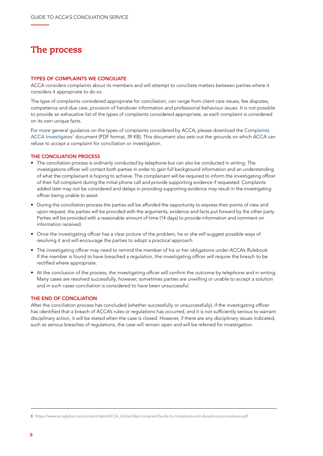### <span id="page-7-0"></span>**The process**

#### TYPES OF COMPLAINTS WE CONCILIATE

ACCA considers complaints about its members and will attempt to conciliate matters between parties where it considers it appropriate to do so.

The type of complaints considered appropriate for conciliation, can range from client care issues, fee disputes, competence and due care, provision of handover information and professional behaviour issues. It is not possible to provide an exhaustive list of the types of complaints considered appropriate, as each complaint is considered on its own unique facts.

For more general guidance on the types of complaints considered by ACCA, please download the [Complaints](https://www.accaglobal.com/content/dam/ACCA_Global/disc/complain/complaints-ACCA-will-investigate.pdf)  [ACCA Investigates](https://www.accaglobal.com/content/dam/ACCA_Global/disc/complain/complaints-ACCA-will-investigate.pdf)<sup>7</sup> document (PDF format, 39 KB). This document also sets out the grounds on which ACCA can refuse to accept a complaint for conciliation or investigation.

#### THE CONCILIATION PROCESS

- The conciliation process is ordinarily conducted by telephone but can also be conducted in writing. The investigations officer will contact both parties in order to gain full background information and an understanding of what the complainant is hoping to achieve. The complainant will be required to inform the investigating officer of their full complaint during the initial phone call and provide supporting evidence if requested. Complaints added later may not be considered and delays in providing supporting evidence may result in the investigating officer being unable to assist.
- During the conciliation process the parties will be afforded the opportunity to express their points of view and upon request, the parties will be provided with the arguments, evidence and facts put forward by the other party. Parties will be provided with a reasonable amount of time (14 days) to provide information and comment on information received.
- Once the investigating officer has a clear picture of the problem, he or she will suggest possible ways of resolving it and will encourage the parties to adopt a practical approach.
- The investigating officer may need to remind the member of his or her obligations under ACCA's *Rulebook*. If the member is found to have breached a regulation, the investigating officer will require the breach to be rectified where appropriate.
- At the conclusion of the process, the investigating officer will confirm the outcome by telephone and in writing. Many cases are resolved successfully, however, sometimes parties are unwilling or unable to accept a solution and in such cases conciliation is considered to have been unsuccessful.

#### THE END OF CONCILIATION

After the conciliation process has concluded (whether successfully or unsuccessfully), if the investigating officer has identified that a breach of ACCA's rules or regulations has occurred, and it is not sufficiently serious to warrant disciplinary action, it will be stated when the case is closed. However, if there are any disciplinary issues indicated, such as serious breaches of regulations, the case will remain open and will be referred for investigation.

<sup>8</sup> [https://www.accaglobal.com/content/dam/ACCA\\_Global/disc/complain/Guide-to-complaints-and-disciplinary-procedures.pdf](https://www.accaglobal.com/content/dam/ACCA_Global/disc/complain/Guide-to-complaints-and-disciplinar)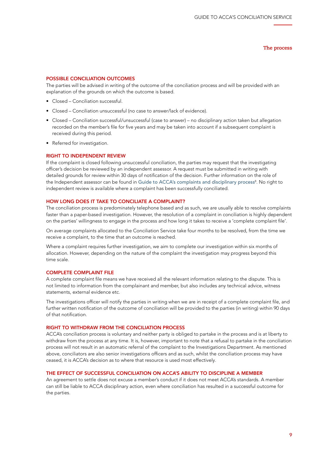**The process**

#### POSSIBLE CONCILIATION OUTCOMES

The parties will be advised in writing of the outcome of the conciliation process and will be provided with an explanation of the grounds on which the outcome is based.

- Closed Conciliation successful.
- Closed Conciliation unsuccessful (no case to answer/lack of evidence).
- Closed Conciliation successful/unsuccessful (case to answer) no disciplinary action taken but allegation recorded on the member's file for five years and may be taken into account if a subsequent complaint is received during this period.
- Referred for investigation.

#### RIGHT TO INDEPENDENT REVIEW

If the complaint is closed following unsuccessful conciliation, the parties may request that the investigating officer's decision be reviewed by an independent assessor. A request must be submitted in writing with detailed grounds for review within 30 days of notification of the decision. Further information on the role of the Independent assessor can be found in [Guide to ACCA's complaints and disciplinary process](https://www.accaglobal.com/content/dam/ACCA_Global/disc/complain/Guide-to-complaints-and-disciplinary-procedures.pdf)<sup>8</sup>. No right to independent review is available where a complaint has been successfully conciliated.

#### HOW LONG DOES IT TAKE TO CONCILIATE A COMPLAINT?

The conciliation process is predominately telephone based and as such, we are usually able to resolve complaints faster than a paper-based investigation. However, the resolution of a complaint in conciliation is highly dependent on the parties' willingness to engage in the process and how long it takes to receive a 'complete complaint file'.

On average complaints allocated to the Conciliation Service take four months to be resolved, from the time we receive a complaint, to the time that an outcome is reached.

Where a complaint requires further investigation, we aim to complete our investigation within six months of allocation. However, depending on the nature of the complaint the investigation may progress beyond this time scale.

#### COMPLETE COMPLAINT FILE

A complete complaint file means we have received all the relevant information relating to the dispute. This is not limited to information from the complainant and member, but also includes any technical advice, witness statements, external evidence etc.

The investigations officer will notify the parties in writing when we are in receipt of a complete complaint file, and further written notification of the outcome of conciliation will be provided to the parties (in writing) within 90 days of that notification.

#### RIGHT TO WITHDRAW FROM THE CONCILIATION PROCESS

ACCA's conciliation process is voluntary and neither party is obliged to partake in the process and is at liberty to withdraw from the process at any time. It is, however, important to note that a refusal to partake in the conciliation process will not result in an automatic referral of the complaint to the Investigations Department. As mentioned above, conciliators are also senior investigations officers and as such, whilst the conciliation process may have ceased, it is ACCA's decision as to where that resource is used most effectively.

#### THE EFFECT OF SUCCESSFUL CONCILIATION ON ACCA'S ABILITY TO DISCIPLINE A MEMBER

An agreement to settle does not excuse a member's conduct if it does not meet ACCA's standards. A member can still be liable to ACCA disciplinary action, even where conciliation has resulted in a successful outcome for the parties.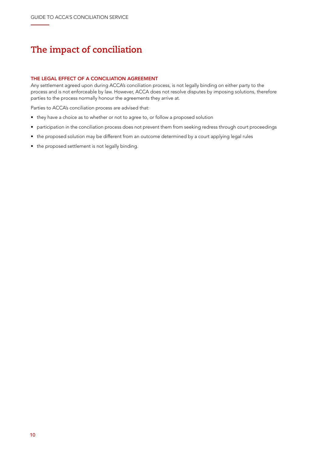# <span id="page-9-0"></span>**The impact of conciliation**

#### THE LEGAL EFFECT OF A CONCILIATION AGREEMENT

Any settlement agreed upon during ACCA's conciliation process, is not legally binding on either party to the process and is not enforceable by law. However, ACCA does not resolve disputes by imposing solutions, therefore parties to the process normally honour the agreements they arrive at.

Parties to ACCA's conciliation process are advised that:

- they have a choice as to whether or not to agree to, or follow a proposed solution
- participation in the conciliation process does not prevent them from seeking redress through court proceedings
- the proposed solution may be different from an outcome determined by a court applying legal rules
- the proposed settlement is not legally binding.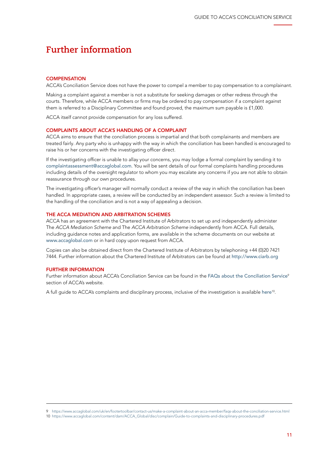### <span id="page-10-0"></span>**Further information**

#### **COMPENSATION**

ACCA's Conciliation Service does not have the power to compel a member to pay compensation to a complainant.

Making a complaint against a member is not a substitute for seeking damages or other redress through the courts. Therefore, while ACCA members or firms may be ordered to pay compensation if a complaint against them is referred to a Disciplinary Committee and found proved, the maximum sum payable is £1,000.

ACCA itself cannot provide compensation for any loss suffered.

#### COMPLAINTS ABOUT ACCA'S HANDLING OF A COMPLAINT

ACCA aims to ensure that the conciliation process is impartial and that both complainants and members are treated fairly. Any party who is unhappy with the way in which the conciliation has been handled is encouraged to raise his or her concerns with the investigating officer direct.

If the investigating officer is unable to allay your concerns, you may lodge a formal complaint by sending it to [complaintassessment@accaglobal.com](mailto:complaintassessment%40accaglobal.com?subject=). You will be sent details of our formal complaints handling procedures including details of the oversight regulator to whom you may escalate any concerns if you are not able to obtain reassurance through our own procedures.

The investigating officer's manager will normally conduct a review of the way in which the conciliation has been handled. In appropriate cases, a review will be conducted by an independent assessor. Such a review is limited to the handling of the conciliation and is not a way of appealing a decision.

#### THE ACCA MEDIATION AND ARBITRATION SCHEMES

ACCA has an agreement with the Chartered Institute of Arbitrators to set up and independently administer The *ACCA Mediation Scheme* and The *ACCA Arbitration Scheme* independently from ACCA. Full details, including guidance notes and application forms, are available in the scheme documents on our website at [www.accaglobal.com](http://www.accaglobal.com) or in hard copy upon request from ACCA.

Copies can also be obtained direct from the Chartered Institute of Arbitrators by telephoning +44 (0)20 7421 7444. Further information about the Chartered Institute of Arbitrators can be found at <http://www.ciarb.org>

#### FURTHER INFORMATION

Further information about ACCA's Conciliation Service can be found in the [FAQs about the Conciliation Service](https://www.accaglobal.com/uk/en/footertoolbar/contact-us/make-a-complaint-about-an-acca-member/faqs-about-the-conciliation-service.html)<sup>9</sup> section of ACCA's website.

A full guide to ACCA's complaints and disciplinary process, inclusive of the investigation is available [here](https://www.accaglobal.com/content/dam/ACCA_Global/disc/complain/Guide-to-complaints-and-disciplinary-procedures.pdf)<sup>10</sup>.

<sup>9</sup> [https://www.accaglobal.com/uk/en/footertoolbar/contact-us/make-a-complaint-about-an-acca-member/faqs-about-the-conciliation-service.html](https://www.accaglobal.com/uk/en/footertoolbar/contact-us/make-a-complaint-about-an-acca-member/faqs)

<sup>10</sup> [https://www.accaglobal.com/content/dam/ACCA\\_Global/disc/complain/Guide-to-complaints-and-disciplinary-procedures.pdf](https://www.accaglobal.com/content/dam/ACCA_Global/disc/complain/Guide-to-complaints-and-disciplinar)